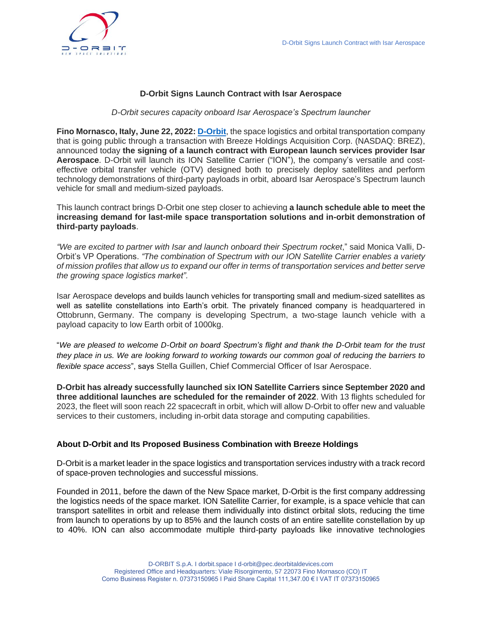

## **D-Orbit Signs Launch Contract with Isar Aerospace**

*D-Orbit secures capacity onboard Isar Aerospace's Spectrum launcher*

**Fino Mornasco, Italy, June 22, 2022: [D-Orbit](http://www.dorbit.space/)**, the space logistics and orbital transportation company that is going public through a transaction with Breeze Holdings Acquisition Corp. (NASDAQ: BREZ), announced today **the signing of a launch contract with European launch services provider Isar Aerospace**. D-Orbit will launch its ION Satellite Carrier ("ION"), the company's versatile and costeffective orbital transfer vehicle (OTV) designed both to precisely deploy satellites and perform technology demonstrations of third-party payloads in orbit, aboard Isar Aerospace's Spectrum launch vehicle for small and medium-sized payloads.

This launch contract brings D-Orbit one step closer to achieving **a launch schedule able to meet the increasing demand for last-mile space transportation solutions and in-orbit demonstration of third-party payloads**.

*"We are excited to partner with Isar and launch onboard their Spectrum rocket*," said Monica Valli, D-Orbit's VP Operations. *"The combination of Spectrum with our ION Satellite Carrier enables a variety of mission profiles that allow us to expand our offer in terms of transportation services and better serve the growing space logistics market".*

Isar Aerospace develops and builds launch vehicles for transporting small and medium-sized satellites as well as satellite constellations into Earth's orbit. The privately financed company is headquartered in [Ottobrunn,](https://en.wikipedia.org/wiki/Ottobrunn) Germany. The company is developing Spectrum, a two-stage launch vehicle with a payload capacity to low Earth orbit of 1000kg.

"*We are pleased to welcome D-Orbit on board Spectrum's flight and thank the D-Orbit team for the trust they place in us. We are looking forward to working towards our common goal of reducing the barriers to flexible space access*", says Stella Guillen, Chief Commercial Officer of Isar Aerospace.

**D-Orbit has already successfully launched six ION Satellite Carriers since September 2020 and three additional launches are scheduled for the remainder of 2022**. With 13 flights scheduled for 2023, the fleet will soon reach 22 spacecraft in orbit, which will allow D-Orbit to offer new and valuable services to their customers, including in-orbit data storage and computing capabilities.

# **About D-Orbit and Its Proposed Business Combination with Breeze Holdings**

D-Orbit is a market leader in the space logistics and transportation services industry with a track record of space-proven technologies and successful missions.

Founded in 2011, before the dawn of the New Space market, D-Orbit is the first company addressing the logistics needs of the space market. ION Satellite Carrier, for example, is a space vehicle that can transport satellites in orbit and release them individually into distinct orbital slots, reducing the time from launch to operations by up to 85% and the launch costs of an entire satellite constellation by up to 40%. ION can also accommodate multiple third-party payloads like innovative technologies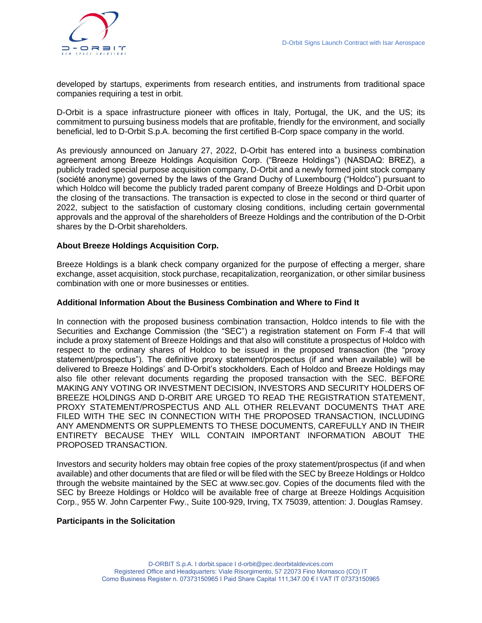

developed by startups, experiments from research entities, and instruments from traditional space companies requiring a test in orbit.

D-Orbit is a space infrastructure pioneer with offices in Italy, Portugal, the UK, and the US; its commitment to pursuing business models that are profitable, friendly for the environment, and socially beneficial, led to D-Orbit S.p.A. becoming the first certified B-Corp space company in the world.

As previously announced on January 27, 2022, D-Orbit has entered into a business combination agreement among Breeze Holdings Acquisition Corp. ("Breeze Holdings") (NASDAQ: BREZ), a publicly traded special purpose acquisition company, D-Orbit and a newly formed joint stock company (société anonyme) governed by the laws of the Grand Duchy of Luxembourg ("Holdco") pursuant to which Holdco will become the publicly traded parent company of Breeze Holdings and D-Orbit upon the closing of the transactions. The transaction is expected to close in the second or third quarter of 2022, subject to the satisfaction of customary closing conditions, including certain governmental approvals and the approval of the shareholders of Breeze Holdings and the contribution of the D-Orbit shares by the D-Orbit shareholders.

### **About Breeze Holdings Acquisition Corp.**

Breeze Holdings is a blank check company organized for the purpose of effecting a merger, share exchange, asset acquisition, stock purchase, recapitalization, reorganization, or other similar business combination with one or more businesses or entities.

#### **Additional Information About the Business Combination and Where to Find It**

In connection with the proposed business combination transaction, Holdco intends to file with the Securities and Exchange Commission (the "SEC") a registration statement on Form F-4 that will include a proxy statement of Breeze Holdings and that also will constitute a prospectus of Holdco with respect to the ordinary shares of Holdco to be issued in the proposed transaction (the "proxy statement/prospectus"). The definitive proxy statement/prospectus (if and when available) will be delivered to Breeze Holdings' and D-Orbit's stockholders. Each of Holdco and Breeze Holdings may also file other relevant documents regarding the proposed transaction with the SEC. BEFORE MAKING ANY VOTING OR INVESTMENT DECISION, INVESTORS AND SECURITY HOLDERS OF BREEZE HOLDINGS AND D-ORBIT ARE URGED TO READ THE REGISTRATION STATEMENT, PROXY STATEMENT/PROSPECTUS AND ALL OTHER RELEVANT DOCUMENTS THAT ARE FILED WITH THE SEC IN CONNECTION WITH THE PROPOSED TRANSACTION, INCLUDING ANY AMENDMENTS OR SUPPLEMENTS TO THESE DOCUMENTS, CAREFULLY AND IN THEIR ENTIRETY BECAUSE THEY WILL CONTAIN IMPORTANT INFORMATION ABOUT THE PROPOSED TRANSACTION.

Investors and security holders may obtain free copies of the proxy statement/prospectus (if and when available) and other documents that are filed or will be filed with the SEC by Breeze Holdings or Holdco through the website maintained by the SEC at www.sec.gov. Copies of the documents filed with the SEC by Breeze Holdings or Holdco will be available free of charge at Breeze Holdings Acquisition Corp., 955 W. John Carpenter Fwy., Suite 100-929, Irving, TX 75039, attention: J. Douglas Ramsey.

#### **Participants in the Solicitation**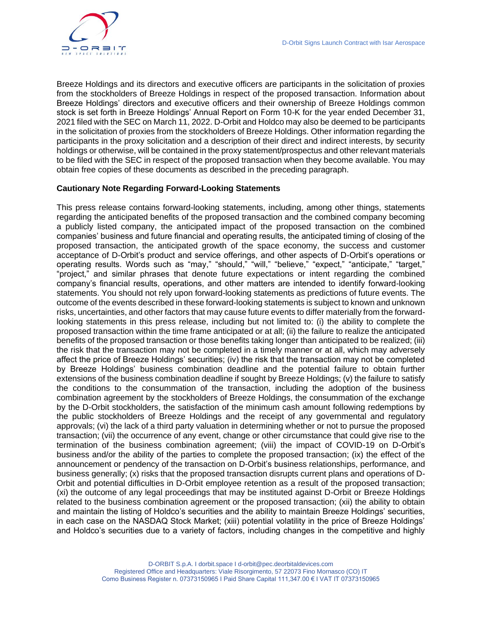

Breeze Holdings and its directors and executive officers are participants in the solicitation of proxies from the stockholders of Breeze Holdings in respect of the proposed transaction. Information about Breeze Holdings' directors and executive officers and their ownership of Breeze Holdings common stock is set forth in Breeze Holdings' Annual Report on Form 10-K for the year ended December 31, 2021 filed with the SEC on March 11, 2022. D-Orbit and Holdco may also be deemed to be participants in the solicitation of proxies from the stockholders of Breeze Holdings. Other information regarding the participants in the proxy solicitation and a description of their direct and indirect interests, by security holdings or otherwise, will be contained in the proxy statement/prospectus and other relevant materials to be filed with the SEC in respect of the proposed transaction when they become available. You may obtain free copies of these documents as described in the preceding paragraph.

### **Cautionary Note Regarding Forward-Looking Statements**

This press release contains forward-looking statements, including, among other things, statements regarding the anticipated benefits of the proposed transaction and the combined company becoming a publicly listed company, the anticipated impact of the proposed transaction on the combined companies' business and future financial and operating results, the anticipated timing of closing of the proposed transaction, the anticipated growth of the space economy, the success and customer acceptance of D-Orbit's product and service offerings, and other aspects of D-Orbit's operations or operating results. Words such as "may," "should," "will," "believe," "expect," "anticipate," "target," "project," and similar phrases that denote future expectations or intent regarding the combined company's financial results, operations, and other matters are intended to identify forward-looking statements. You should not rely upon forward-looking statements as predictions of future events. The outcome of the events described in these forward-looking statements is subject to known and unknown risks, uncertainties, and other factors that may cause future events to differ materially from the forwardlooking statements in this press release, including but not limited to: (i) the ability to complete the proposed transaction within the time frame anticipated or at all; (ii) the failure to realize the anticipated benefits of the proposed transaction or those benefits taking longer than anticipated to be realized; (iii) the risk that the transaction may not be completed in a timely manner or at all, which may adversely affect the price of Breeze Holdings' securities; (iv) the risk that the transaction may not be completed by Breeze Holdings' business combination deadline and the potential failure to obtain further extensions of the business combination deadline if sought by Breeze Holdings; (v) the failure to satisfy the conditions to the consummation of the transaction, including the adoption of the business combination agreement by the stockholders of Breeze Holdings, the consummation of the exchange by the D-Orbit stockholders, the satisfaction of the minimum cash amount following redemptions by the public stockholders of Breeze Holdings and the receipt of any governmental and regulatory approvals; (vi) the lack of a third party valuation in determining whether or not to pursue the proposed transaction; (vii) the occurrence of any event, change or other circumstance that could give rise to the termination of the business combination agreement; (viii) the impact of COVID-19 on D-Orbit's business and/or the ability of the parties to complete the proposed transaction; (ix) the effect of the announcement or pendency of the transaction on D-Orbit's business relationships, performance, and business generally; (x) risks that the proposed transaction disrupts current plans and operations of D-Orbit and potential difficulties in D-Orbit employee retention as a result of the proposed transaction; (xi) the outcome of any legal proceedings that may be instituted against D-Orbit or Breeze Holdings related to the business combination agreement or the proposed transaction; (xii) the ability to obtain and maintain the listing of Holdco's securities and the ability to maintain Breeze Holdings' securities, in each case on the NASDAQ Stock Market; (xiii) potential volatility in the price of Breeze Holdings' and Holdco's securities due to a variety of factors, including changes in the competitive and highly